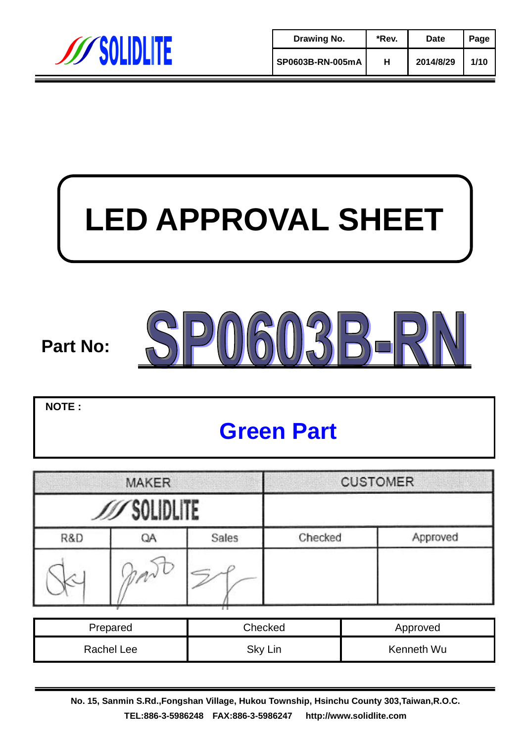

| Drawing No.      | *Rev. | Date      | Page |
|------------------|-------|-----------|------|
| SP0603B-RN-005mA | н     | 2014/8/29 | 1/10 |

# **LED APPROVAL SHEET**

## SP0603B-F **Part No:**

**NOTE :**

## **Green Part**

| <b>MAKER</b> |              |       | <b>CUSTOMER</b> |          |
|--------------|--------------|-------|-----------------|----------|
|              | ///SOLIDLITE |       |                 |          |
| R&D          | QA           | Sales | Checked         | Approved |
|              | dM           |       |                 |          |

| Prepared   | Checked | Approved   |
|------------|---------|------------|
| Rachel Lee | Sky Lin | Kenneth Wu |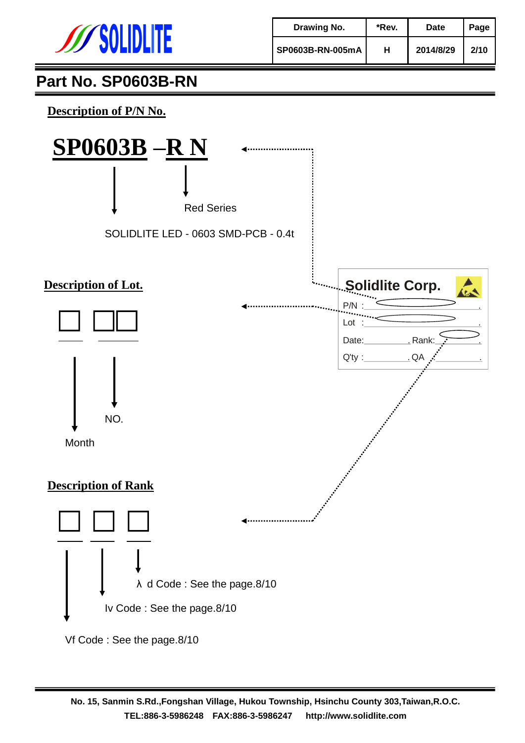

| Drawing No.      | *Rev. | Date      | Page |
|------------------|-------|-----------|------|
| SP0603B-RN-005mA | н     | 2014/8/29 | 2/10 |

**Description of P/N No.**

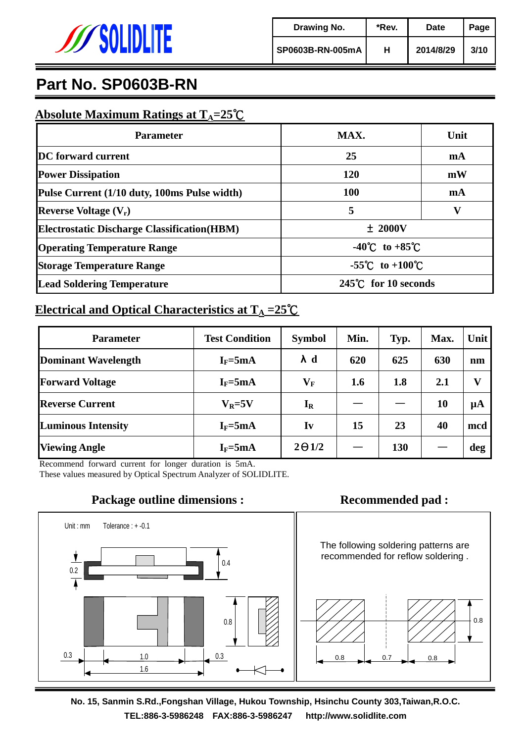

#### **Absolute Maximum Ratings at TA=25**℃

| <b>Parameter</b>                                    | MAX.                               | Unit |  |
|-----------------------------------------------------|------------------------------------|------|--|
| <b>DC</b> forward current                           | 25                                 | mA   |  |
| <b>Power Dissipation</b>                            | 120                                | mW   |  |
| Pulse Current (1/10 duty, 100ms Pulse width)        | 100                                | mA   |  |
| <b>Reverse Voltage</b> $(V_r)$                      | 5                                  |      |  |
| <b>Electrostatic Discharge Classification (HBM)</b> | $±$ 2000V                          |      |  |
| <b>Operating Temperature Range</b>                  | $-40^{\circ}$ C to $+85^{\circ}$ C |      |  |
| <b>Storage Temperature Range</b>                    | -55°C to +100°C                    |      |  |
| <b>Lead Soldering Temperature</b>                   | 245°C for 10 seconds               |      |  |

#### **Electrical and Optical Characteristics at T<sup>A</sup> =25**℃

| <b>Parameter</b>          | <b>Test Condition</b> | <b>Symbol</b>           | Min. | Typ.       | Max. | Unit    |
|---------------------------|-----------------------|-------------------------|------|------------|------|---------|
| Dominant Wavelength       | $I_F = 5mA$           | $\lambda$ d             | 620  | 625        | 630  | nm      |
| <b>Forward Voltage</b>    | $I_F = 5mA$           | $\mathbf{V}_\mathbf{F}$ | 1.6  | 1.8        | 2.1  | v       |
| <b>Reverse Current</b>    | $V_R = 5V$            | $I_R$                   |      |            | 10   | $\mu A$ |
| <b>Luminous Intensity</b> | $I_F = 5mA$           | Iv                      | 15   | 23         | 40   | mcd     |
| <b>Viewing Angle</b>      | $I_F = 5mA$           | $2\Theta$ 1/2           |      | <b>130</b> |      | deg     |

Recommend forward current for longer duration is 5mA. These values measured by Optical Spectrum Analyzer of SOLIDLITE.



**No. 15, Sanmin S.Rd.,Fongshan Village, Hukou Township, Hsinchu County 303,Taiwan,R.O.C. TEL:886-3-5986248 FAX:886-3-5986247 http://www.solidlite.com TEL:886-3-5512110/5559130 FAX:886-3-5559189 http://www.solidlite.com**

#### **Package outline dimensions : <br> <b>Recommended pad :**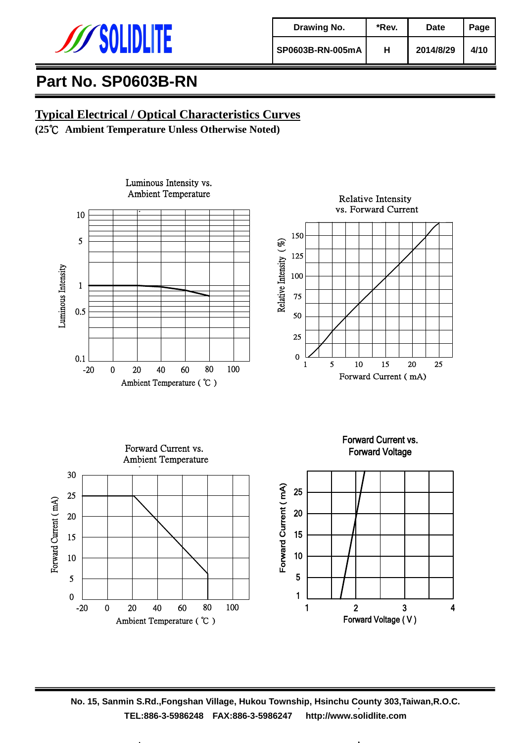

| Drawing No.      | *Rev. | Date      | Page |
|------------------|-------|-----------|------|
| SP0603B-RN-005mA | н     | 2014/8/29 | 4/10 |

#### **Typical Electrical / Optical Characteristics Curves**

**(25**℃ **Ambient Temperature Unless Otherwise Noted)**



**No. 15, Sanmin S.Rd.,Fongshan Village, Hukou Township, Hsinchu County 303,Taiwan,R.O.C. TEL:886-3-5986248 FAX:886-3-5986247 http://www.solidlite.com TEL:886-3-5512110/5559130 FAX:886-3-5559189 http://www.solidlite.com**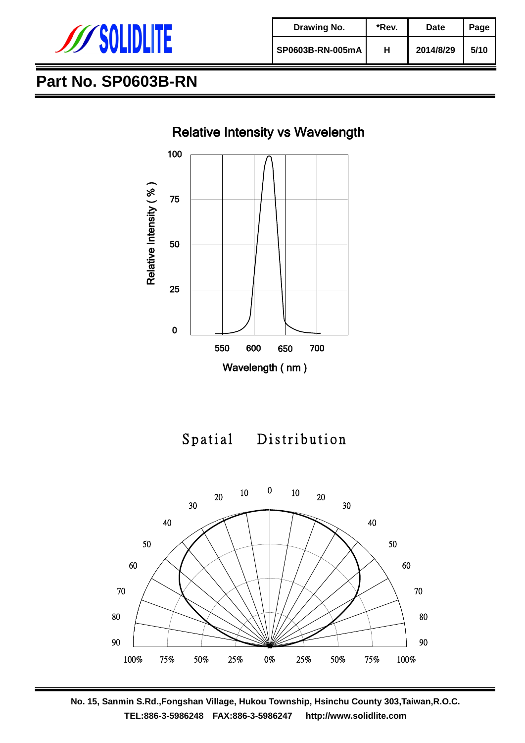

| Drawing No.      | *Rev. | Date      | Page |
|------------------|-------|-----------|------|
| SP0603B-RN-005mA | н     | 2014/8/29 | 5/10 |





Spatial Distribution





**No. 15, Sanmin S.Rd.,Fongshan Village, Hukou Township, Hsinchu County 303,Taiwan,R.O.C. TEL:886-3-5986248 FAX:886-3-5986247 http://www.solidlite.com TEL:886-3-5512110/5559130 FAX:886-3-5559189 http://www.solidlite.com**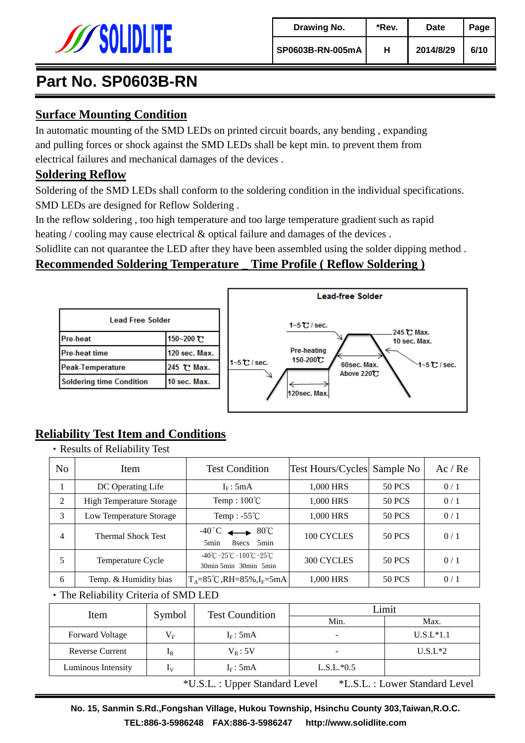

#### **Surface Mounting Condition**

In automatic mounting of the SMD LEDs on printed circuit boards, any bending , expanding and pulling forces or shock against the SMD LEDs shall be kept min. to prevent them from electrical failures and mechanical damages of the devices .

#### **Soldering Reflow**

Soldering of the SMD LEDs shall conform to the soldering condition in the individual specifications. SMD LEDs are designed for Reflow Soldering .

In the reflow soldering , too high temperature and too large temperature gradient such as rapid heating / cooling may cause electrical & optical failure and damages of the devices.

Solidlite can not quarantee the LED after they have been assembled using the solder dipping method .

#### **Recommended Soldering Temperature \_ Time Profile ( Reflow Soldering )**

| Lead Free Solder                |               |  |  |  |
|---------------------------------|---------------|--|--|--|
| <b>Pre-heat</b>                 | 150~200 ℃     |  |  |  |
| <b>Pre-heat time</b>            | 120 sec. Max. |  |  |  |
| Peak-Temperature                | 245 ℃ Max.    |  |  |  |
| <b>Soldering time Condition</b> | 10 sec. Max.  |  |  |  |



#### **Reliability Test Item and Conditions**

‧Results of Reliability Test

| N <sub>o</sub> | Item                            | <b>Test Condition</b>                                                                        | <b>Test Hours/Cycles</b> Sample No |               | Ac/Re |
|----------------|---------------------------------|----------------------------------------------------------------------------------------------|------------------------------------|---------------|-------|
|                | DC Operating Life               | $I_F: 5mA$                                                                                   | 1,000 HRS                          | <b>50 PCS</b> | 0/1   |
| 2              | <b>High Temperature Storage</b> | Temp: $100^{\circ}$ C                                                                        | 1,000 HRS                          | <b>50 PCS</b> | 0/1   |
| 3              | Low Temperature Storage         | Temp: $-55^{\circ}$ C                                                                        | 1,000 HRS                          | <b>50 PCS</b> | 0/1   |
| $\overline{4}$ | <b>Thermal Shock Test</b>       | $-40^{\circ}$ C $\longrightarrow 80^{\circ}$ C<br>5 <sub>min</sub><br>8 secs<br>5min         | 100 CYCLES                         | 50 PCS        | 0/1   |
|                | Temperature Cycle               | $-40^{\circ}$ C ~ $25^{\circ}$ C ~ $100^{\circ}$ C ~ $25^{\circ}$ C<br>30min 5min 30min 5min | 300 CYCLES                         | 50 PCS        | 0/1   |
| 6              | Temp. & Humidity bias           | $T_A = 85^{\circ}C, RH = 85\%$ , I <sub>F</sub> =5mA                                         | 1,000 HRS                          | <b>50 PCS</b> | 0/1   |

‧The Reliability Criteria of SMD LED

| Item                                                             | <b>Test Coundition</b><br>Symbol |              | Limit        |             |
|------------------------------------------------------------------|----------------------------------|--------------|--------------|-------------|
|                                                                  |                                  |              | Min.         | Max.        |
| <b>Forward Voltage</b>                                           | $V_{E}$                          | $I_F$ : 5mA  |              | $U.S.L*1.1$ |
| <b>Reverse Current</b>                                           | $1_{\rm R}$                      | $V_{R}$ : 5V |              | $U.S.L*2$   |
| Luminous Intensity                                               | 1v                               | $I_F: 5mA$   | $L.S.L.*0.5$ |             |
| *L.S.L. : Lower Standard Level<br>*U.S.L. : Upper Standard Level |                                  |              |              |             |

**No. 15, Sanmin S.Rd.,Fongshan Village, Hukou Township, Hsinchu County 303,Taiwan,R.O.C. TEL:886-3-5986248 FAX:886-3-5986247 http://www.solidlite.com TEL:886-3-5512110/5559130 FAX:886-3-5559189 http://www.solidlite.com**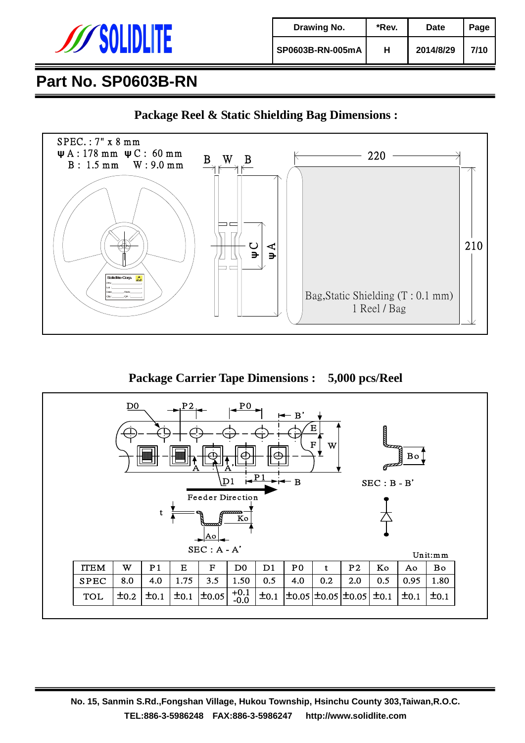

| Drawing No.      | *Rev. | Date      | Page |
|------------------|-------|-----------|------|
| SP0603B-RN-005mA | н     | 2014/8/29 | 7/10 |





**Package Carrier Tape Dimensions : 5,000 pcs/Reel**

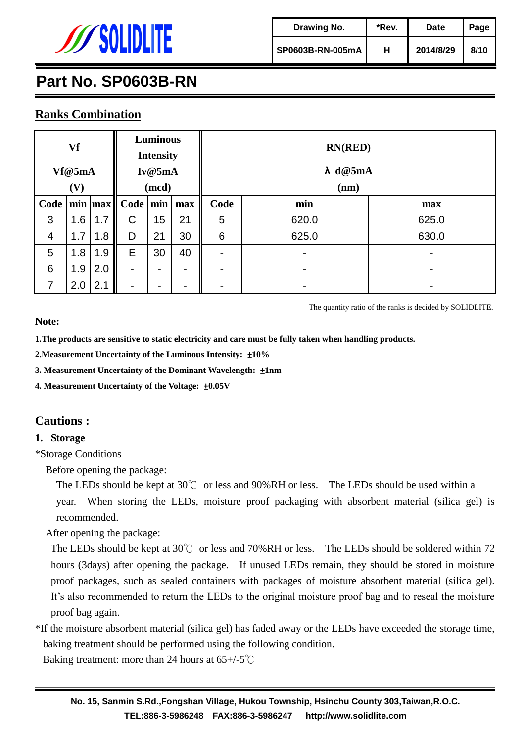

| Drawing No.      | *Rev. | Date      | Page |
|------------------|-------|-----------|------|
| SP0603B-RN-005mA | н     | 2014/8/29 | 8/10 |

#### **Ranks Combination**

| Vf     |     | <b>Luminous</b><br><b>Intensity</b> |                          | <b>RN(RED)</b>  |                          |                          |       |                          |
|--------|-----|-------------------------------------|--------------------------|-----------------|--------------------------|--------------------------|-------|--------------------------|
| Vf@5mA |     | Iv@5mA                              |                          | $\lambda$ d@5mA |                          |                          |       |                          |
| (V)    |     | (mcd)                               |                          | (nm)            |                          |                          |       |                          |
|        |     |                                     | Code   min   max    Code | min             | max                      | Code                     | min   | max                      |
| 3      | 1.6 | 1.7                                 | C                        | 15              | 21                       | 5                        | 620.0 | 625.0                    |
| 4      | 1.7 | 1.8                                 | D                        | 21              | 30                       | 6                        | 625.0 | 630.0                    |
| 5      | 1.8 | 1.9                                 | E                        | 30              | 40                       | $\overline{\phantom{m}}$ | -     | $\overline{\phantom{a}}$ |
| 6      | 1.9 | 2.0                                 |                          | -               | $\overline{\phantom{0}}$ | $\overline{\phantom{0}}$ | -     | $\overline{\phantom{a}}$ |
| 7      | 2.0 | 2.1                                 |                          | -               |                          |                          |       |                          |

The quantity ratio of the ranks is decided by SOLIDLITE.

#### **Note:**

**1.The products are sensitive to static electricity and care must be fully taken when handling products.**

**2.Measurement Uncertainty of the Luminous Intensity:** ±**10%**

**3. Measurement Uncertainty of the Dominant Wavelength:** ±**1nm**

**4. Measurement Uncertainty of the Voltage:** ±**0.05V**

#### **Cautions :**

#### **1. Storage**

\*Storage Conditions

Before opening the package:

The LEDs should be kept at 30℃ or less and 90%RH or less. The LEDs should be used within a year. When storing the LEDs, moisture proof packaging with absorbent material (silica gel) is recommended.

After opening the package:

The LEDs should be kept at 30℃ or less and 70%RH or less. The LEDs should be soldered within 72 hours (3days) after opening the package. If unused LEDs remain, they should be stored in moisture proof packages, such as sealed containers with packages of moisture absorbent material (silica gel). It's also recommended to return the LEDs to the original moisture proof bag and to reseal the moisture proof bag again.

\*If the moisture absorbent material (silica gel) has faded away or the LEDs have exceeded the storage time, baking treatment should be performed using the following condition.

Baking treatment: more than 24 hours at 65+/-5℃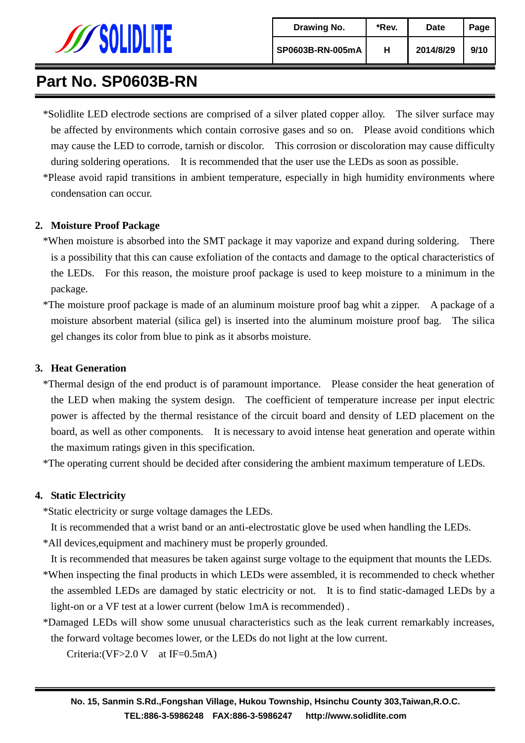

\*Solidlite LED electrode sections are comprised of a silver plated copper alloy. The silver surface may be affected by environments which contain corrosive gases and so on. Please avoid conditions which may cause the LED to corrode, tarnish or discolor. This corrosion or discoloration may cause difficulty during soldering operations. It is recommended that the user use the LEDs as soon as possible.

\*Please avoid rapid transitions in ambient temperature, especially in high humidity environments where condensation can occur.

#### **2. Moisture Proof Package**

- \*When moisture is absorbed into the SMT package it may vaporize and expand during soldering. There is a possibility that this can cause exfoliation of the contacts and damage to the optical characteristics of the LEDs. For this reason, the moisture proof package is used to keep moisture to a minimum in the package.
- \*The moisture proof package is made of an aluminum moisture proof bag whit a zipper. A package of a moisture absorbent material (silica gel) is inserted into the aluminum moisture proof bag. The silica gel changes its color from blue to pink as it absorbs moisture.

#### **3. Heat Generation**

\*Thermal design of the end product is of paramount importance. Please consider the heat generation of the LED when making the system design. The coefficient of temperature increase per input electric power is affected by the thermal resistance of the circuit board and density of LED placement on the board, as well as other components. It is necessary to avoid intense heat generation and operate within the maximum ratings given in this specification.

\*The operating current should be decided after considering the ambient maximum temperature of LEDs.

#### **4. Static Electricity**

\*Static electricity or surge voltage damages the LEDs.

It is recommended that a wrist band or an anti-electrostatic glove be used when handling the LEDs.

\*All devices,equipment and machinery must be properly grounded.

It is recommended that measures be taken against surge voltage to the equipment that mounts the LEDs.

- \*When inspecting the final products in which LEDs were assembled, it is recommended to check whether the assembled LEDs are damaged by static electricity or not. It is to find static-damaged LEDs by a light-on or a VF test at a lower current (below 1mA is recommended) .
- \*Damaged LEDs will show some unusual characteristics such as the leak current remarkably increases, the forward voltage becomes lower, or the LEDs do not light at the low current.

Criteria:(VF>2.0 V at IF=0.5mA)